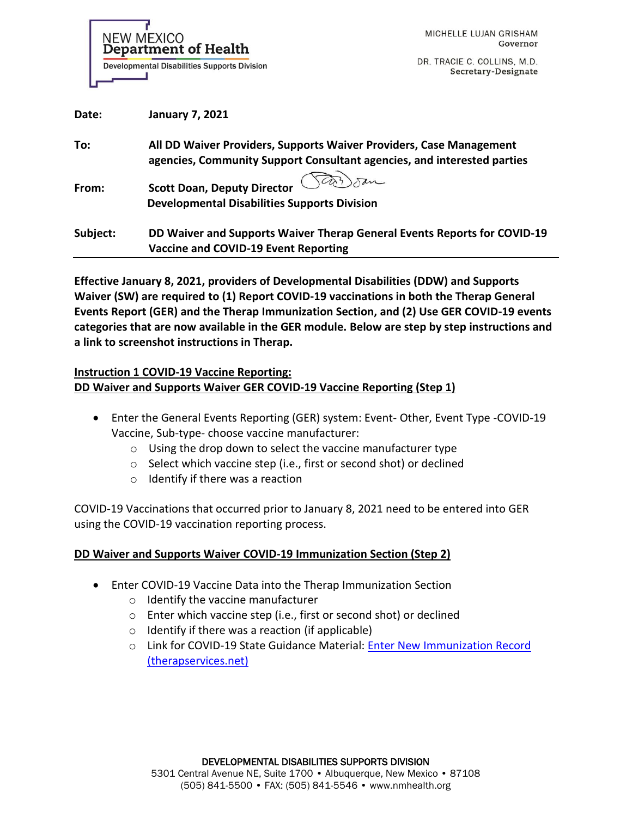NEW MEXICO **Department of Health Developmental Disabilities Supports Division** 

DR. TRACIE C. COLLINS, M.D. Secretary-Designate

| Date:    | <b>January 7, 2021</b>                                                                                                                         |
|----------|------------------------------------------------------------------------------------------------------------------------------------------------|
| To:      | All DD Waiver Providers, Supports Waiver Providers, Case Management<br>agencies, Community Support Consultant agencies, and interested parties |
| From:    | <b>Scott Doan, Deputy Director</b><br><b>Developmental Disabilities Supports Division</b>                                                      |
| Subject: | DD Waiver and Supports Waiver Therap General Events Reports for COVID-19<br>Vaccine and COVID-19 Event Reporting                               |

**Effective January 8, 2021, providers of Developmental Disabilities (DDW) and Supports Waiver (SW) are required to (1) Report COVID-19 vaccinations in both the Therap General Events Report (GER) and the Therap Immunization Section, and (2) Use GER COVID-19 events categories that are now available in the GER module. Below are step by step instructions and a link to screenshot instructions in Therap.** 

## **Instruction 1 COVID-19 Vaccine Reporting: DD Waiver and Supports Waiver GER COVID-19 Vaccine Reporting (Step 1)**

- Enter the General Events Reporting (GER) system: Event-Other, Event Type -COVID-19 Vaccine, Sub-type- choose vaccine manufacturer:
	- o Using the drop down to select the vaccine manufacturer type
	- o Select which vaccine step (i.e., first or second shot) or declined
	- $\circ$  Identify if there was a reaction

COVID-19 Vaccinations that occurred prior to January 8, 2021 need to be entered into GER using the COVID-19 vaccination reporting process.

## **DD Waiver and Supports Waiver COVID-19 Immunization Section (Step 2)**

- Enter COVID-19 Vaccine Data into the Therap Immunization Section
	- o Identify the vaccine manufacturer
	- o Enter which vaccine step (i.e., first or second shot) or declined
	- $\circ$  Identify if there was a reaction (if applicable)
	- o Link for COVID-19 State Guidance Material: [Enter New Immunization Record](https://help.therapservices.net/app/answers/detail/a_id/289)  [\(therapservices.net\)](https://help.therapservices.net/app/answers/detail/a_id/289)